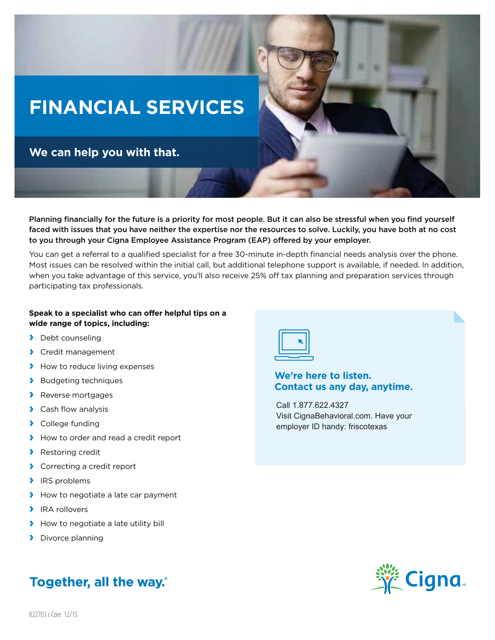## **FINANCIAL SERVICES**

**We can help you with that.**

Planning financially for the future is a priority for most people. But it can also be stressful when you find yourself faced with issues that you have neither the expertise nor the resources to solve. Luckily, you have both at no cost to you through your Cigna Employee Assistance Program (EAP) offered by your employer.

You can get a referral to a qualified specialist for a free 30-minute in-depth financial needs analysis over the phone. Most issues can be resolved within the initial call, but additional telephone support is available, if needed. In addition, when you take advantage of this service, you'll also receive 25% off tax planning and preparation services through participating tax professionals.

## **Speak to a specialist who can offer helpful tips on a wide range of topics, including:**

- **›** Debt counseling
- **›** Credit management
- **›** How to reduce living expenses
- **›** Budgeting techniques
- **›** Reverse mortgages
- **›** Cash flow analysis
- **›** College funding
- **›** How to order and read a credit report
- **›** Restoring credit
- **›** Correcting a credit report
- **›** IRS problems
- **›** How to negotiate a late car payment
- **›** IRA rollovers
- **›** How to negotiate a late utility bill
- **›** Divorce planning

## **Together, all the way.**



## **We're here to listen. Contact us any day, anytime.**

Call 1.877.622.4327 Visit CignaBehavioral.com. Have your employer ID handy: friscotexas